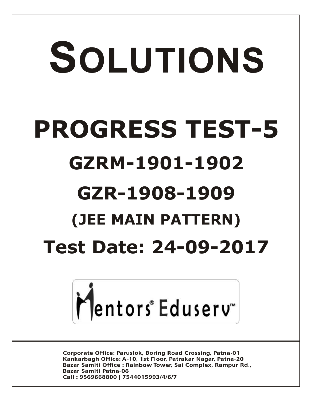# SOLUTIONS **PROGRESS TEST-5 GZRM-1901-1902 GZR-1908-1909 (JEE MAIN PATTERN)Test Date: 24-09-2017**



**Corporate Office: Paruslok, Boring Road Crossing, Patna-01** Kankarbagh Office: A-10, 1st Floor, Patrakar Nagar, Patna-20 Bazar Samiti Office: Rainbow Tower, Sai Complex, Rampur Rd., **Bazar Samiti Patna-06** Call: 9569668800 | 7544015993/4/6/7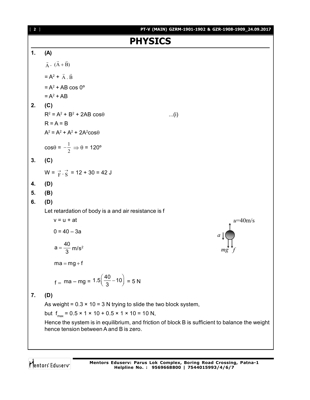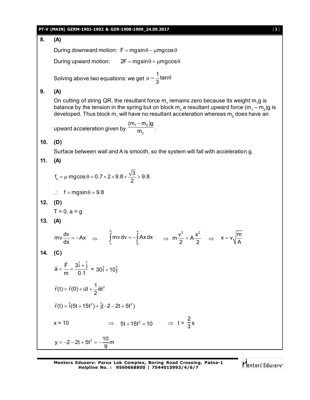# **PT-V (MAIN) GZRM-1901-1902 & GZR-1908-1909\_24.09.2017** [ **3** ]

**8. (A)** During downward motion:  $F = mg\sin\theta - \mu mg\cos\theta$ During upward motion:  $2F = mag \sin \theta + \mu mg \cos \theta$ Solving above two equations: we get 1<br>2 tan 3  $\mu = \frac{1}{6}$ tan $\theta$ **9. (A)** On cutting of string QR, the resultant force  $\mathsf{m}_\text{\tiny{1}}$  remains zero because its weight  $\mathsf{m}_\text{\tiny{1}}$ g is balance by the tension in the spring but on block  $\mathsf{m}_2$  a resultant upward force  $(\mathsf{m}_\text{\tiny{1}}-\mathsf{m}_\text{\tiny{2}})$ g is developed. Thus block m<sub>1</sub> will have no resultant acceleration whereas m<sub>2</sub> does have an upward acceleration given by  $\frac{m_1 + m_2}{m_2}$  $(m_1 - m_2)g$ m  $\overline{a}$ . **10. (D)** Surface between wall and A is smooth, so the system will fall with acceleration g. **11. (A)** s  $f_s = \mu \text{ mgcos} \theta = 0.7 \times 2 \times 9.8 \times \frac{\sqrt{3}}{2} > 9.8$ 2  $=\mu$  mgcos  $\theta$  = 0.7  $\times$  2  $\times$  9.8  $\times \frac{\sqrt{6}}{2}$  > 9.  $\therefore$  f = mgsin  $\theta$  = 9.8 **12. (D)**  $T = 0$ ,  $a = a$ **13. (A)**  $mv \frac{dv}{dr} = -Ax$  $\frac{dv}{dx} = -Ax \implies$ 0 x  $\int_{v}^{v}$ mv dv =  $-\int_{0}^{x} Ax dx$   $\Rightarrow$  m $\frac{v^{2}}{2} = A \frac{x^{2}}{2}$  $\frac{v^2}{2} = A \frac{x^2}{2}$   $\Rightarrow$   $x = v \sqrt{\frac{m}{A}}$ A  $=$ **14. (C)**  $\vec{a} = \frac{\vec{F}}{} = \frac{3\hat{i} + \hat{j}}{24}$ m 0.1  $=\frac{F}{F}=\frac{3i+1}{2i}$  $\overline{\phantom{a}}$  $\vec{a} = \frac{\vec{F}}{m} = \frac{3\hat{i} + \hat{j}}{0.1} = 30\hat{i} + 10\hat{j}$  $\vec{r}(t) = \vec{r}(0) + \vec{u}t + \frac{1}{6}\vec{a}t^2$ 2  $= \vec{r}(0) + \vec{u}t + \frac{1}{2}$   $\vec{r}(t) = \hat{i}(5t + 15t^2) + \hat{j}(-2 - 2t + 5t^2)$  $x = 10$   $\Rightarrow$   $5t + 15t^2 = 10$   $\Rightarrow$   $t =$ 2  $\frac{1}{3}$ s  $y = -2 - 2t + 5t^2 = -\frac{10}{6}$ m <u>9</u>  $=-2-2t+5t^2=-1$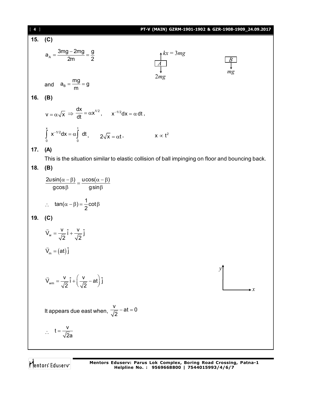| [4] |                                                                                                  | PT-V (MAIN) GZRM-1901-1902 & GZR-1908-1909_24.09.2017 |               |
|-----|--------------------------------------------------------------------------------------------------|-------------------------------------------------------|---------------|
| 15. | (C)                                                                                              |                                                       |               |
|     | $a_{A} = \frac{3mg - 2mg}{2m} = \frac{g}{2}$                                                     | $\frac{\sqrt{kx}}{4} = 3mg$                           | $\frac{B}{2}$ |
|     | and $a_B = \frac{mg}{m} = g$                                                                     | 2mg                                                   | mg            |
| 16. | (B)                                                                                              |                                                       |               |
|     | $v = \alpha \sqrt{x} \implies \frac{dx}{dt} = \alpha x^{1/2}, \qquad x^{-1/2} dx = \alpha dt,$   |                                                       |               |
|     | $\int_{0}^{x} x^{-1/2} dx = \alpha \int_{0}^{1} dt, \qquad 2\sqrt{x} = \alpha t.$                | $x \propto t^2$                                       |               |
| 17. | (A)                                                                                              |                                                       |               |
|     | This is the situation similar to elastic collision of ball impinging on floor and bouncing back. |                                                       |               |
| 18. | (B)                                                                                              |                                                       |               |
|     | $\frac{2u\sin(\alpha-\beta)}{g\cos\beta} = \frac{ucos(\alpha-\beta)}{g\sin\beta}$                |                                                       |               |
|     | $\therefore$ tan( $\alpha - \beta$ ) = $\frac{1}{2}$ cot $\beta$                                 |                                                       |               |
| 19. | (C)                                                                                              |                                                       |               |
|     | $\vec{V}_{w} = \frac{V}{\sqrt{2}} \hat{i} + \frac{V}{\sqrt{2}} \hat{j}$                          |                                                       |               |
|     | $V_m = (at) \hat{j}$                                                                             |                                                       |               |
|     | $\vec{V}_{wm} = \frac{v}{\sqrt{2}} \hat{i} + \left(\frac{v}{\sqrt{2}} - at\right) \hat{j}$       |                                                       |               |
|     | It appears due east when, $\frac{v}{\sqrt{2}} - at = 0$                                          |                                                       |               |
|     |                                                                                                  |                                                       |               |
|     | $\therefore$ t = $\frac{v}{\sqrt{2}a}$                                                           |                                                       |               |
|     |                                                                                                  |                                                       |               |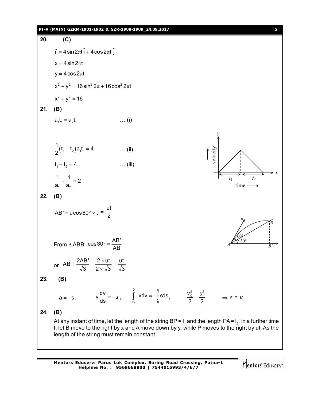# **PT-V (MAIN) GZRM-1901-1902 & GZR-1908-1909\_24.09.2017** [ **5** ]

20. (C)  
\n
$$
\vec{r} = 4 \sin 2\pi t \hat{i} + 4 \cos 2\pi t \hat{j}
$$
  
\n $x = 4 \sin 2\pi t$   
\n $y = 4 \cos 2\pi t$   
\n $x^2 + y^2 = 16 \sin^2 2\pi + 16 \cos^2 2\pi t$   
\n21. (B)  
\n21. (B)  
\n21. (C)  
\n22. (D)  
\n $\frac{1}{2}(t_1 + t_2) a_t t_1 = 4$  ...(ii)  
\n $t_1 + t_2 = 4$  ...(iii)  
\n $\frac{1}{a_1} + \frac{1}{a_2} = 2$   
\n22. (B)  
\n $AB' = u \cos 60^\circ \times t = \frac{u t}{2}$   
\nFrom  $\triangle ABB'$   $\cos 30^\circ = \frac{AB'}{AB}$   
\nor  $AB = \frac{2AB'}{\sqrt{3}} = \frac{2 \times u t}{2 \times \sqrt{3}} = \frac{u t}{\sqrt{3}}$   
\n23. (B)  
\n $a = -s$ ,  $v \frac{dv}{ds} = -s$ ,  $\int_{v_0}^0 v dv = -\int_0^{\frac{1}{2}} s ds$ ,  $\frac{v_0^2}{2} = \frac{s^2}{2} \implies s = v_0$   
\n24. (B)  
\nA tany instant of time, let the length of the string BP = 1, and the length PA = 1, ... in a further time  
\nt, let B move to the right by x and A move down by y, while P moves to the right by u t. As the  
\nlength of the string must remain constant.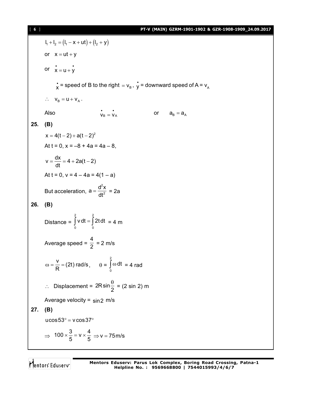$l_1 + l_2 = (l_1 - x + ut) + (l_2 + y)$ or  $x = ut + y$ or  $\dot{x} = u + \dot{y}$  $\mathbf{x} = \mathbf{s}$  peed of B to the right  $= \mathsf{v}_{\mathsf{B}}$  ,  $\mathbf{y} = \mathsf{downward}$  speed of A =  $\mathsf{v}_{\mathsf{A}}$  $\therefore$   $V_B = U + V_A$ . Also  $\dot{v}_B = \dot{v}_A$ or  $a_B = a_A$ **25. (B)**  $x = 4(t-2) + a(t-2)^2$ At  $t = 0$ ,  $x = -8 + 4a = 4a - 8$ ,  $v = \frac{dx}{dt} = 4 + 2a(t - 2)$ dt  $=\frac{an}{4}$  = 4 + 2a(t - 2 At  $t = 0$ ,  $v = 4 - 4a = 4(1 - a)$ But acceleration, 2 2  $a = \frac{d^2x}{d^2}$  $=\frac{d^{2}x}{dt^{2}}$  = 2a **26. (B)** Distance = 2 2  $\int\limits_{0}$ v dt =  $\int\limits_{0}^{1}$ 2t dt = 4 m Average speed = 4  $\frac{1}{2}$  = 2 m/s  $\frac{v}{\sqrt{2}}$  = (2t) rad/s  $\omega = \frac{V}{R} = (2t) \text{ rad/s}, \qquad \theta =$ 2  $\int\limits_0^\infty \omega \, \mathsf{d} \mathsf{t} \ = \mathsf{4} \ \mathsf{rad}$  $\therefore$  Displacement = 2Rsin $\frac{8}{2}$  $\theta$  = (2 sin 2) m Average velocity =  $\sin 2$  m/s **27. (B)** ucos $53^\circ$  = v cos $37^\circ$  $\Rightarrow 100 \times \frac{3}{5} = v \times \frac{4}{5}$  $\times \frac{8}{5}$  =  $\sqrt{6}$   $\times \frac{1}{5}$   $\Rightarrow$   $\sqrt{6}$  = 75 m/s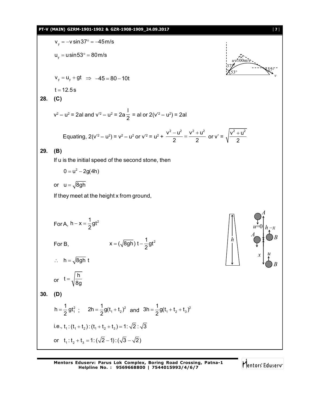# **PT-V (MAIN) GZRM-1901-1902 & GZR-1908-1909\_24.09.2017** [ **7** ]

$$
v_y = -v \sin 37^\circ = -45 \text{ m/s}
$$
\n
$$
u_y = u \sin 53^\circ = 80 \text{ m/s}
$$
\n
$$
v_y = u_y + gt \implies -45 = 80 - 10t
$$
\nt = 12.5s  
\n28. (C)  
\n
$$
v^2 - u^2 = 2al \text{ and } v^2 - u^2 = 2a\frac{1}{2} = al \text{ or } 2(v^2 - u^2) = 2al
$$
\nEquating, 2(v<sup>2</sup> - u<sup>2</sup>) = v<sup>2</sup> - u<sup>2</sup> or v<sup>2</sup> = u<sup>2</sup> + \frac{v^2 - u^2}{2} = \frac{v^2 + u^2}{2} \text{ or } v' = \sqrt{\frac{v^2 + u^2}{2}}\n29. (B)  
\nIf u is the initial speed of the second stone, then  
\n
$$
0 = u^2 - 2g(4h)
$$
\nor  $u = \sqrt{8gh}$   
\nIf they meet at the height x from ground,  
\nFor A, h – x =  $\frac{1}{2}gt^2$   
\nFor B,  
\n
$$
x = (\sqrt{8gh})t - \frac{1}{2}gt^2
$$
\n
$$
∴ h = \sqrt{8gh}t
$$
\nor  $t = \sqrt{\frac{h}{8g}}$   
\n30. (D)  
\n
$$
h = \frac{1}{2}gt^2
$$
  
\n
$$
∴ \frac{1}{2}h = \frac{1}{2}gt^2
$$
  
\n
$$
∴ \frac{1}{2}h = \frac{1}{2}gt^2
$$
  
\n
$$
∴ \frac{1}{2}h = \frac{1}{2}gt^2
$$
  
\n
$$
∴ \frac{1}{2}gt^2 = \frac{1}{2}gt^2
$$
  
\n
$$
∴ \frac{1}{2}gt^2 = \frac{1}{2}gt^2
$$
  
\n
$$
∴ \frac{1}{2}gt^2 = \frac{1}{2}gt^2
$$
  
\n
$$
∴ \frac{1}{2}gt^2 = \frac{1}{2}gt^2
$$
  
\n
$$
∴ \frac{1}{2}gt^2 = \frac{1}{2}gt^2
$$
  
\n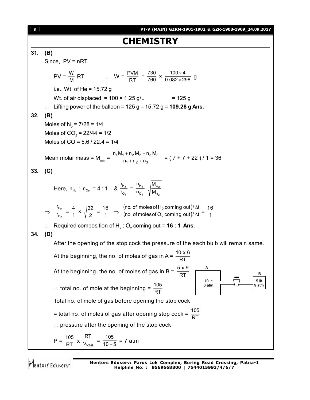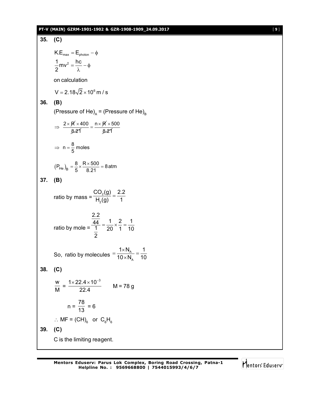#### **PT-V (MAIN) GZRM-1901-1902 & GZR-1908-1909\_24.09.2017** [ **9** ]

**35. (C)**  $K.E_{max} = E_{photon} - \phi$  $\frac{1}{2}$ mv<sup>2</sup> =  $\frac{hc}{2}$ 2  $=\frac{1}{2}-\phi$ λ on calculation  $V = 2.18\sqrt{2} \times 10^6 \text{ m/s}$ **36. (B)** (Pressure of He) $_{\rm \!A}$  = (Pressure of He) $_{\rm \!B}$  $\Rightarrow$   $\frac{2 \times \cancel{R} \times 400}{2.56}$ 8.21  $\frac{\times 400}{\approx 0.500} = \frac{n \times \cancel{R} \times 500}{\cancel{R}}$ 8.21  $\times$  $\Rightarrow$  n =  $\frac{8}{5}$  moles  $(P_{\text{He}})_{\text{B}} = \frac{8}{5} \times \frac{R \times 500}{8.21} = 8 \text{ atm}$  $=\frac{8}{5}\times\frac{R\times500}{3.04}=8$ **37. (B)** ratio by mass =  $\frac{362}{H_2}$  $CO<sub>2</sub>(g)$  2.2  $H_2(g)$  1  $=$ ratio by mole = 2.2  $\frac{44}{44} = \frac{1}{4} \times \frac{2}{4} = \frac{1}{4}$  $1$  20 1 10 2  $=\frac{1}{22} \times \frac{2}{4} = -$ So, ratio by molecules  $=$   $\frac{1.4 \times 10^{4}}{10 \times N_{A}}$  $1 \times N_A$  1  $10 \times N_A$  10  $=\frac{1\times N_{A}}{10^{11}}$  $\times$ **38. (C)** w  $\frac{1}{M}$  =  $1 \times 22.4 \times 10^{-3}$ 22.4  $\frac{\times 22.4 \times 10^{-3}}{22.4}$  M = 78 g  $n =$ 78  $\frac{1}{13}$  = 6  $\therefore$  MF = (CH)<sub>6</sub> or C<sub>6</sub>H<sub>6</sub> **39. (C)** C is the limiting reagent.

Q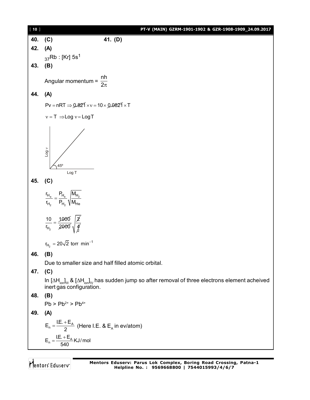| $[10]$ | PT-V (MAIN) GZRM-1901-1902 & GZR-1908-1909_24.09.2017                                                                                                                              |
|--------|------------------------------------------------------------------------------------------------------------------------------------------------------------------------------------|
| 40.    | 41. (D)<br>(C)                                                                                                                                                                     |
| 42.    | (A)                                                                                                                                                                                |
|        | $_{37}$ Rb : [Kr] 5s <sup>1</sup>                                                                                                                                                  |
| 43.    | (B)                                                                                                                                                                                |
|        | Angular momentum = $\frac{nh}{2\pi}$                                                                                                                                               |
| 44.    | (A)                                                                                                                                                                                |
|        | $Pv = nRT \Rightarrow 0.821 \times v = 10 \times 0.0821 \times T$                                                                                                                  |
|        | $v = T \implies Log v = Log T$                                                                                                                                                     |
|        | $\vee$ 607<br>$45^{\circ}$<br>Log T                                                                                                                                                |
| 45.    | (C)                                                                                                                                                                                |
|        | $\frac{r_{H_e}}{r_{H_2}} = \frac{P_{H_e}}{P_{H_2}} \sqrt{\frac{M_{H_2}}{M_{He}}}$                                                                                                  |
|        | $\frac{10}{r_{H_2}} = \frac{1000}{2000} \sqrt{\frac{2}{\frac{4}{\cancel{5}}}}$                                                                                                     |
|        | $r_{H_2} = 20\sqrt{2} \text{ torr } \text{min}^{-1}$                                                                                                                               |
| 46.    | (B)                                                                                                                                                                                |
|        | Due to smaller size and half filled atomic orbital.                                                                                                                                |
| 47.    | (C)                                                                                                                                                                                |
|        | In $[\Delta H_{\text{ion}}]_{\text{III}}$ & $[\Delta H_{\text{ion}}]_{\text{IV}}$ has sudden jump so after removal of three electrons element acheived<br>inert gas configuration. |
| 48.    | (B)                                                                                                                                                                                |
|        | $Pb > Pb^{2+} > Pb^{4+}$                                                                                                                                                           |
| 49.    | (A)                                                                                                                                                                                |
|        | $E_n = \frac{I.E. + E_A}{2}$ (Here I.E. & E <sub>A</sub> in ev/atom)                                                                                                               |
|        | $E_n = \frac{I.E. + E_A}{540}$ KJ/mol                                                                                                                                              |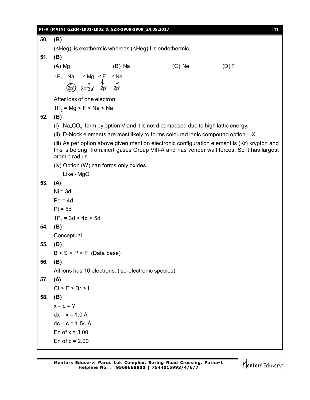|     | PT-V (MAIN) GZRM-1901-1902 & GZR-1908-1909_24.09.2017                                                                                                         |          |          | $[11]$                                                                                                                                                                                     |
|-----|---------------------------------------------------------------------------------------------------------------------------------------------------------------|----------|----------|--------------------------------------------------------------------------------------------------------------------------------------------------------------------------------------------|
| 50. | (B)                                                                                                                                                           |          |          |                                                                                                                                                                                            |
|     | $(\Delta Heg)$ l is exothermic whereas $(\Delta Heg)$ II is endothermic.                                                                                      |          |          |                                                                                                                                                                                            |
| 51. | (B)                                                                                                                                                           |          |          |                                                                                                                                                                                            |
|     | $(A)$ Mg                                                                                                                                                      | $(B)$ Na | $(C)$ Ne | (D) F                                                                                                                                                                                      |
|     | 1P <sub>1</sub> Na < Mg < F < Ne<br>$\downarrow$ $\downarrow$ $\downarrow$ $\downarrow$ $\downarrow$<br>$2p^6$ 3 <sup>2</sup> 2p <sup>4</sup> 2p <sup>5</sup> |          |          |                                                                                                                                                                                            |
|     | After loss of one electron                                                                                                                                    |          |          |                                                                                                                                                                                            |
|     | $1P_{2}$ = Mg < F < Ne < Na                                                                                                                                   |          |          |                                                                                                                                                                                            |
| 52. | (B)                                                                                                                                                           |          |          |                                                                                                                                                                                            |
|     | (i) $Na2CO3$ form by option V and it is not dicomposed due to high lattic energy.                                                                             |          |          |                                                                                                                                                                                            |
|     | (ii) D-block elements are most likely to forms coloured ionic compound option $- X$                                                                           |          |          |                                                                                                                                                                                            |
|     | atomic radius.                                                                                                                                                |          |          | (iii) As per option above given mention electronic configuration element is (Kr) krypton and<br>this is belong from inert gases Group VIII-A and has vender wall forces. So it has largest |
|     | (iv) Option (W) can forms only oxides.                                                                                                                        |          |          |                                                                                                                                                                                            |
|     | Like - MgO                                                                                                                                                    |          |          |                                                                                                                                                                                            |
| 53. | (A)                                                                                                                                                           |          |          |                                                                                                                                                                                            |
|     | $Ni = 3d$                                                                                                                                                     |          |          |                                                                                                                                                                                            |
|     | $Pd = 4d$                                                                                                                                                     |          |          |                                                                                                                                                                                            |
|     | $Pt = 5d$                                                                                                                                                     |          |          |                                                                                                                                                                                            |
|     | $1P_1 = 3d < 4d < 5d$                                                                                                                                         |          |          |                                                                                                                                                                                            |
| 54. | (B)                                                                                                                                                           |          |          |                                                                                                                                                                                            |
|     | Conceptual.                                                                                                                                                   |          |          |                                                                                                                                                                                            |
| 55. | (D)                                                                                                                                                           |          |          |                                                                                                                                                                                            |
|     | $B < S < P < F$ (Data base)                                                                                                                                   |          |          |                                                                                                                                                                                            |
| 56. | (B)                                                                                                                                                           |          |          |                                                                                                                                                                                            |
| 57. | All ions has 10 electrons. (iso-electronic species)<br>(A)                                                                                                    |          |          |                                                                                                                                                                                            |
|     | Cl > F > Br > 1                                                                                                                                               |          |          |                                                                                                                                                                                            |
| 58. | (B)                                                                                                                                                           |          |          |                                                                                                                                                                                            |
|     | $x - c = ?$                                                                                                                                                   |          |          |                                                                                                                                                                                            |
|     | $dx - x = 1.0 \text{ Å}$                                                                                                                                      |          |          |                                                                                                                                                                                            |
|     | $dc - c = 1.54$ Å                                                                                                                                             |          |          |                                                                                                                                                                                            |
|     | En of $x = 3.00$                                                                                                                                              |          |          |                                                                                                                                                                                            |
|     | En of $c = 2.00$                                                                                                                                              |          |          |                                                                                                                                                                                            |
|     |                                                                                                                                                               |          |          |                                                                                                                                                                                            |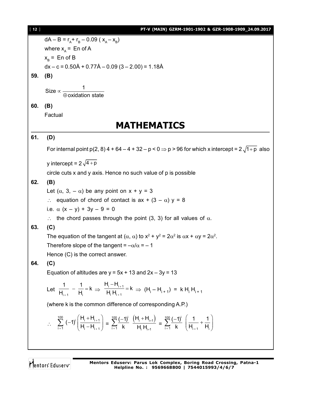| $[12]$ | PT-V (MAIN) GZRM-1901-1902 & GZR-1908-1909_24.09.2017                                                                                                                                                                                                |  |
|--------|------------------------------------------------------------------------------------------------------------------------------------------------------------------------------------------------------------------------------------------------------|--|
|        | $dA - B = r_A + r_B - 0.09$ ( $x_A - x_B$ )                                                                                                                                                                                                          |  |
|        | where $x_A$ = En of A                                                                                                                                                                                                                                |  |
|        | $x_B$ = En of B                                                                                                                                                                                                                                      |  |
|        | $dx - c = 0.50\text{\AA} + 0.77\text{\AA} - 0.09(3 - 2.00) = 1.18\text{\AA}$                                                                                                                                                                         |  |
| 59.    | (B)                                                                                                                                                                                                                                                  |  |
|        |                                                                                                                                                                                                                                                      |  |
|        | Size $\propto \frac{1}{\text{O}}$ oxidation state                                                                                                                                                                                                    |  |
| 60.    | (B)                                                                                                                                                                                                                                                  |  |
|        | Factual                                                                                                                                                                                                                                              |  |
|        | <b>MATHEMATICS</b>                                                                                                                                                                                                                                   |  |
| 61.    | (D)                                                                                                                                                                                                                                                  |  |
|        | For internal point $p(2, 8)$ 4 + 64 – 4 + 32 – $p < 0 \Rightarrow p > 96$ for which x intercept = $2\sqrt{1+p}$ also                                                                                                                                 |  |
|        | y intercept = $2\sqrt{4+p}$                                                                                                                                                                                                                          |  |
|        | circle cuts x and y axis. Hence no such value of p is possible                                                                                                                                                                                       |  |
| 62.    | (B)                                                                                                                                                                                                                                                  |  |
|        | Let $(\alpha, 3, -\alpha)$ be any point on $x + y = 3$                                                                                                                                                                                               |  |
|        | : equation of chord of contact is $ax + (3 - \alpha) y = 8$                                                                                                                                                                                          |  |
|        | i.e. $\alpha$ (x – y) + 3y – 9 = 0                                                                                                                                                                                                                   |  |
|        | $\therefore$ the chord passes through the point (3, 3) for all values of $\alpha$ .                                                                                                                                                                  |  |
| 63.    | (C)                                                                                                                                                                                                                                                  |  |
|        | The equation of the tangent at $(\alpha, \alpha)$ to $x^2 + y^2 = 2\alpha^2$ is $\alpha x + \alpha y = 2\alpha^2$ .                                                                                                                                  |  |
|        | Therefore slope of the tangent = $-\alpha/\alpha$ = -1                                                                                                                                                                                               |  |
| 64.    | Hence (C) is the correct answer.<br>(C)                                                                                                                                                                                                              |  |
|        | Equation of altitudes are $y = 5x + 13$ and $2x - 3y = 13$                                                                                                                                                                                           |  |
|        | Let $\frac{1}{H_{i-4}} - \frac{1}{H_i} = k \Rightarrow \frac{H_i - H_{i+1}}{H_i H_{i+4}} = k \Rightarrow (H_i - H_{i+1}) = k H_i H_{i+1}$                                                                                                            |  |
|        | (where k is the common difference of corresponding A.P.)                                                                                                                                                                                             |  |
|        | $\therefore \sum_{i=1}^{100} (-1)^i \left( \frac{H_i + H_{i+1}}{H_i - H_{i+1}} \right) = \sum_{i=1}^{100} \frac{(-1)^i}{k} \frac{(H_i + H_{i+1})}{H_i H_{i+1}} = \sum_{i=1}^{100} \frac{(-1)^i}{k} \left( \frac{1}{H_{i+1}} + \frac{1}{H_i} \right)$ |  |
|        |                                                                                                                                                                                                                                                      |  |

Mentors<sup>e</sup> Eduserv-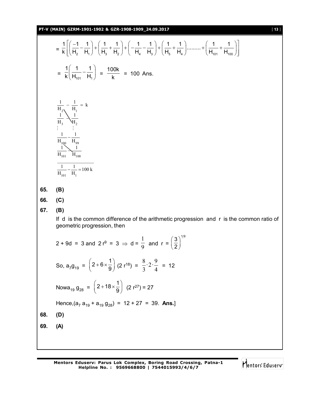**PT-V (MAIN) GZRM-1901-1902 & GZR-1908-1909\_24.09.2017** [ **13** ]

$$
\frac{1}{\kappa} \left[ \left( \frac{-1}{H_2} - \frac{1}{H_1} \right) + \left( \frac{1}{H_3} + \frac{1}{H_2} \right) + \left( -\frac{1}{H_4} - \frac{1}{H_3} \right) + \left( \frac{1}{H_6} + \frac{1}{H_4} \right) \dots + \left( \frac{1}{H_{101}} + \frac{1}{H_{100}} \right) \right]
$$
\n
$$
= \frac{1}{\kappa} \left( \frac{1}{H_{101}} - \frac{1}{H_1} \right) = \frac{100k}{k} = 100 \text{ Ans.}
$$
\n
$$
\frac{1}{H_3} - \frac{1}{H_1} = k
$$
\n
$$
\frac{1}{H_3} - \frac{1}{H_2} = \frac{1}{H_3}
$$
\n
$$
\frac{1}{H_{101}} - \frac{1}{H_4} = 100k
$$
\n65. (B)  
\n66. (C)  
\n67. (B)  
\nIf d is the common difference of the arithmetic progression and r is the common ratio of geometric progression, then  
\n
$$
2 + 9d = 3 \text{ and } 2r^9 = 3 \implies d = \frac{1}{9} \text{ and } r = \left( \frac{3}{2} \right)^{1/9}
$$
\nSo,  $a_7 g_{19} = \left( 2 + 6 \times \frac{1}{9} \right) (2 r^{18}) = \frac{8}{3} \cdot 2 \cdot \frac{9}{4} = 12$   
\nNow  $a_{19} g_{28} = \left( 2 + 18 \times \frac{1}{9} \right) (2 r^{27}) = 27$   
\nHence,  $(a_7 a_{19} + a_{19} g_{28}) = 12 + 27 = 39$ . Ans.]  
\n68. (D)  
\n69. (A)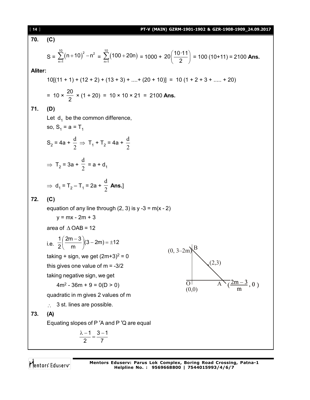| $[14]$         | PT-V (MAIN) GZRM-1901-1902 & GZR-1908-1909_24.09.2017                                                                                       |  |  |
|----------------|---------------------------------------------------------------------------------------------------------------------------------------------|--|--|
| 70.            | (C)                                                                                                                                         |  |  |
|                | S = $\sum_{n=1}^{10} (n+10)^2 - n^2 = \sum_{n=1}^{10} (100+20n) = 1000 + 20 \left( \frac{10 \cdot 11}{2} \right) = 100 (10+11) = 2100$ Ans. |  |  |
| <b>Aliter:</b> |                                                                                                                                             |  |  |
|                | $10[(11 + 1) + (12 + 2) + (13 + 3) +  + (20 + 10)] = 10(1 + 2 + 3 +  + 20)$                                                                 |  |  |
|                | = $10 \times \frac{20}{2} \times (1 + 20) = 10 \times 10 \times 21 = 2100$ Ans.                                                             |  |  |
| 71.            | (D)                                                                                                                                         |  |  |
|                | Let $d_1$ be the common difference,                                                                                                         |  |  |
|                | so, $S_1 = a = T_1$                                                                                                                         |  |  |
|                | S <sub>2</sub> = 4a + $\frac{d}{2}$ $\Rightarrow$ T <sub>1</sub> + T <sub>2</sub> = 4a + $\frac{d}{2}$                                      |  |  |
|                | $\Rightarrow$ T <sub>2</sub> = 3a + $\frac{d}{2}$ = a + d <sub>1</sub>                                                                      |  |  |
|                | $\Rightarrow$ d <sub>1</sub> = T <sub>2</sub> - T <sub>1</sub> = 2a + $\frac{d}{2}$ Ans.]                                                   |  |  |
| 72.            | (C)                                                                                                                                         |  |  |
|                | equation of any line through $(2, 3)$ is y -3 = m(x - 2)                                                                                    |  |  |
|                | $y = mx - 2m + 3$                                                                                                                           |  |  |
|                | area of $\triangle$ OAB = 12                                                                                                                |  |  |
|                | i.e. $\frac{1}{2} \left( \frac{2m-3}{m} \right) (3-2m) = \pm 12$<br>$(0, 3-2m)^8$                                                           |  |  |
|                | taking + sign, we get $(2m+3)^2 = 0$                                                                                                        |  |  |
|                | (2,3)<br>this gives one value of $m = -3/2$                                                                                                 |  |  |
|                | taking negative sign, we get                                                                                                                |  |  |
|                | $\frac{2m-3}{m}$ , 0)<br>$\Omega$<br>$4m^2 - 36m + 9 = 0(D > 0)$                                                                            |  |  |
|                | (0,0)<br>quadratic in m gives 2 values of m                                                                                                 |  |  |
|                | 3 st. lines are possible.                                                                                                                   |  |  |
| 73.            | (A)                                                                                                                                         |  |  |
|                | Equating slopes of P'A and P'Q are equal                                                                                                    |  |  |
|                | $\frac{\lambda - 1}{2} = \frac{3 - 1}{7}$                                                                                                   |  |  |
|                |                                                                                                                                             |  |  |

**Mentors Eduserv: Parus Lok Complex, Boring Road Crossing, Patna-1 Helpline No. : 9569668800 | 7544015993/4/6/7**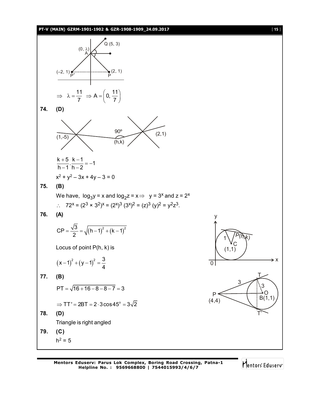

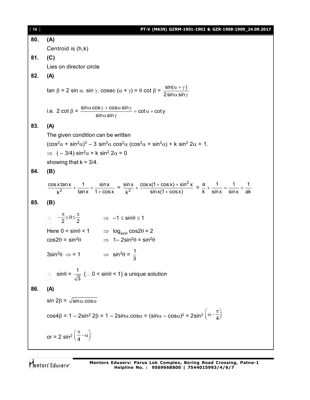| $[16]$ | PT-V (MAIN) GZRM-1901-1902 & GZR-1908-1909_24.09.2017                                                                                                                                                                           |  |
|--------|---------------------------------------------------------------------------------------------------------------------------------------------------------------------------------------------------------------------------------|--|
| 80.    | (A)                                                                                                                                                                                                                             |  |
|        | Centroid is (h,k)                                                                                                                                                                                                               |  |
| 81.    | (C)                                                                                                                                                                                                                             |  |
|        | Lies on director circle                                                                                                                                                                                                         |  |
| 82.    | (A)                                                                                                                                                                                                                             |  |
|        | tan β = 2 sin α. sin γ. cosec (α + γ) = θ cot β = $\frac{\sin(\alpha + \gamma)}{2\sin\alpha \sin\gamma}$                                                                                                                        |  |
|        | i.e. $2 \cot \beta = \frac{\sin \alpha \cos \gamma + \cos \alpha \sin \gamma}{\sin \alpha \sin \gamma} = \cot \alpha + \cot \gamma$                                                                                             |  |
| 83.    | (A)                                                                                                                                                                                                                             |  |
|        | The given condition can be written                                                                                                                                                                                              |  |
|        | $(\cos^2 \alpha + \sin^2 \alpha)^3 - 3 \sin^2 \alpha \cos^2 \alpha (\cos^2 \alpha + \sin^2 \alpha) + k \sin^2 2\alpha = 1$ .                                                                                                    |  |
|        | $\Rightarrow$ (-3/4) sin <sup>2</sup> $\alpha$ + k sin <sup>2</sup> 2 $\alpha$ = 0                                                                                                                                              |  |
|        | showing that $k = 3/4$ .                                                                                                                                                                                                        |  |
| 84.    | (B)                                                                                                                                                                                                                             |  |
|        | $\frac{\cos x \tan x}{k^2} + \frac{1}{\tan x} + \frac{\sin x}{1 + \cos x} = \frac{\sin x}{k^2} + \frac{\cos x (1 + \cos x) + \sin^2 x}{\sin x (1 + \cos x)} = \frac{a}{k} + \frac{1}{\sin x} = \frac{1}{\sin x} + \frac{1}{ak}$ |  |
| 85.    | (B)                                                                                                                                                                                                                             |  |
|        | ∴ $-\frac{\pi}{2} \leq \theta \leq \frac{\pi}{2}$ $\implies -1 \leq \sin \theta \leq 1$                                                                                                                                         |  |
|        | Here $0 < \sin\theta < 1$ $\Rightarrow \log_{\sin\theta} \cos 2\theta = 2$                                                                                                                                                      |  |
|        | $\cos 2\theta = \sin^2 \theta \implies 1 - 2\sin^2 \theta = \sin^2 \theta$                                                                                                                                                      |  |
|        | $3\sin^2\theta \Rightarrow 1 \Rightarrow \sin^2\theta = \frac{1}{3}$                                                                                                                                                            |  |
|        | $\therefore$ sin $\theta = \frac{1}{\sqrt{3}}$ { $\therefore$ 0 < sin $\theta$ < 1} a unique solution                                                                                                                           |  |
| 86.    | (A)                                                                                                                                                                                                                             |  |
|        | sin $2\beta = \sqrt{\sin \alpha \cdot \cos \alpha}$                                                                                                                                                                             |  |
|        | $\cos 4\beta = 1 - 2\sin^2 2\beta = 1 - 2\sin \alpha \cdot \cos \alpha = (\sin \alpha - \cos \alpha)^2 = 2\sin^2 \left(\alpha - \frac{\pi}{4}\right)$                                                                           |  |
|        | or = 2 sin <sup>2</sup> $\left(\frac{\pi}{4} - \alpha\right)$                                                                                                                                                                   |  |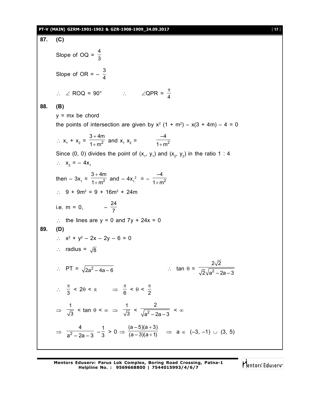**87. (C)** Slope of OQ =  $\frac{4}{3}$ 3 Slope of OR =  $-\frac{3}{4}$ 4  $\therefore \angle$  ROQ = 90°  $\therefore \angle$  QPR =  $\frac{\pi}{4}$ 4 **88. (B)**  $y = mx$  be chord the points of intersection are given by  $x^2$  (1 + m<sup>2</sup>) – x(3 + 4m) – 4 = 0  $\therefore$   $X_1 + X_2 =$  $\ddot{}$  $+ m<sup>2</sup>$  $3 + 4m$  $\frac{1}{1+m^2}$  and  $x_1 x_2 = \frac{1}{1+m^2}$ –4  $1 + m$ Since (0, 0) divides the point of  $(x_1, y_1)$  and  $(x_2, y_2)$  in the ratio 1 : 4  $\therefore$   $x_2 = -4x_1$ then  $-3x<sub>1</sub> =$  $^{+}$  $+m<sup>2</sup>$  $3 + 4m$  $\frac{1}{1+m^2}$  and  $-4x_1^2 = -\frac{1}{1+m^2}$ –4  $1 + m$  $\therefore$  9 + 9m<sup>2</sup> = 9 + 16m<sup>2</sup> + 24m i.e. m = 0,  $-\frac{24}{7}$ 7 :. the lines are  $y = 0$  and  $7y + 24x = 0$ **89. (D)**  $\therefore$   $x^2 + y^2 - 2x - 2y - 6 = 0$  $\therefore$  radius =  $\sqrt{8}$  $\therefore$  PT =  $\sqrt{2a^2 - 4a - 6}$  $2a^2 - 4a - 6$  :  $\tan \theta = \frac{\sqrt{2}}{\sqrt{2}}$  $2\sqrt{2}$  $2\sqrt{a^2 - 2a - 3}$  $\therefore \frac{\pi}{2}$  $\frac{\pi}{3}$  < 2 $\theta$  <  $\pi$   $\Rightarrow$   $\frac{\pi}{6}$  $\frac{\pi}{6}$  <  $\theta$  <  $\frac{\pi}{2}$ 2  $\Rightarrow$ 1  $\frac{1}{3}$  < tan  $\theta$  <  $\infty$   $\Rightarrow$ 1  $\frac{1}{3}$  <  $\frac{1}{\sqrt{a^2}}$ 2  $\frac{1}{a^2-2a-3}$  <  $\infty$  $\Rightarrow \frac{1}{2^2}$ 4  $\frac{4}{a^2-2a-3}$   $-\frac{1}{3}$  $\frac{1}{3} > 0 \Rightarrow$  $\ddot{}$  $^{+}$  $(a-5)(a+3)$  $\frac{(a-3)(a+1)}{(a-3)(a+1)}$   $\Rightarrow$  a  $\in$  (-3, -1)  $\cup$  (3, 5)